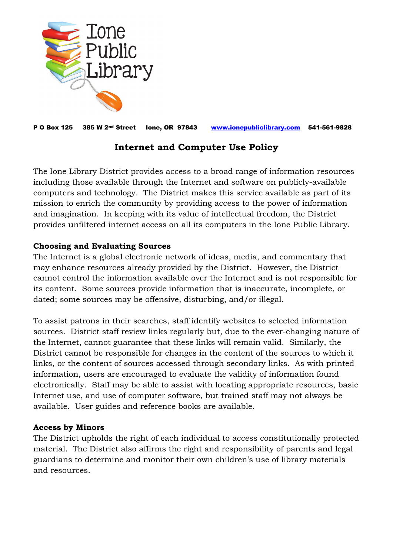

P O Box 125 385 W 2nd Street Ione, OR 97843 [www.ionepubliclibrary.com](http://www.ionepubliclibrary.com/) 541-561-9828

## **Internet and Computer Use Policy**

The Ione Library District provides access to a broad range of information resources including those available through the Internet and software on publicly-available computers and technology. The District makes this service available as part of its mission to enrich the community by providing access to the power of information and imagination. In keeping with its value of intellectual freedom, the District provides unfiltered internet access on all its computers in the Ione Public Library.

## **Choosing and Evaluating Sources**

The Internet is a global electronic network of ideas, media, and commentary that may enhance resources already provided by the District. However, the District cannot control the information available over the Internet and is not responsible for its content. Some sources provide information that is inaccurate, incomplete, or dated; some sources may be offensive, disturbing, and/or illegal.

To assist patrons in their searches, staff identify websites to selected information sources. District staff review links regularly but, due to the ever-changing nature of the Internet, cannot guarantee that these links will remain valid. Similarly, the District cannot be responsible for changes in the content of the sources to which it links, or the content of sources accessed through secondary links. As with printed information, users are encouraged to evaluate the validity of information found electronically. Staff may be able to assist with locating appropriate resources, basic Internet use, and use of computer software, but trained staff may not always be available. User guides and reference books are available.

## **Access by Minors**

The District upholds the right of each individual to access constitutionally protected material. The District also affirms the right and responsibility of parents and legal guardians to determine and monitor their own children's use of library materials and resources.